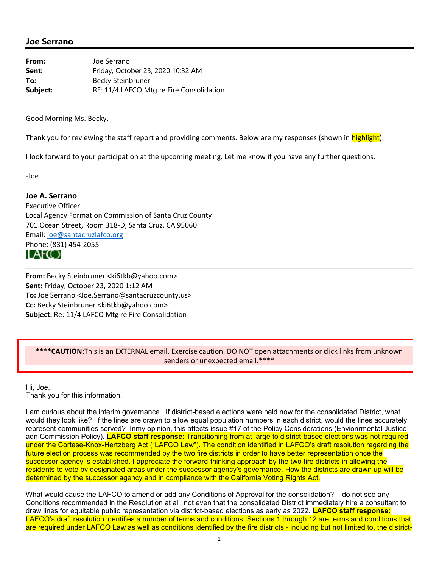## **Joe Serrano**

| From:    | Joe Serrano                              |
|----------|------------------------------------------|
| Sent:    | Friday, October 23, 2020 10:32 AM        |
| To:      | Becky Steinbruner                        |
| Subject: | RE: 11/4 LAFCO Mtg re Fire Consolidation |

Good Morning Ms. Becky,

Thank you for reviewing the staff report and providing comments. Below are my responses (shown in highlight).

I look forward to your participation at the upcoming meeting. Let me know if you have any further questions.

‐Joe

## **Joe A. Serrano**

Executive Officer Local Agency Formation Commission of Santa Cruz County 701 Ocean Street, Room 318‐D, Santa Cruz, CA 95060 Email: joe@santacruzlafco.org Phone: (831) 454‐2055

LAFCO

**From:** Becky Steinbruner <ki6tkb@yahoo.com> **Sent:** Friday, October 23, 2020 1:12 AM **To:** Joe Serrano <Joe.Serrano@santacruzcounty.us> **Cc:** Becky Steinbruner <ki6tkb@yahoo.com> **Subject:** Re: 11/4 LAFCO Mtg re Fire Consolidation

## \*\*\*\***CAUTION:**This is an EXTERNAL email. Exercise caution. DO NOT open attachments or click links from unknown senders or unexpected email.\*\*\*\*

Hi, Joe, Thank you for this information.

I am curious about the interim governance. If district-based elections were held now for the consolidated District, what would they look like? If the lines are drawn to allow equal population numbers in each district, would the lines accurately represent communities served? Inmy opinion, this affects issue #17 of the Policy Considerations (Envionrmental Justice adn Commission Policy). **LAFCO staff response:** Transitioning from at-large to district-based elections was not required under the Cortese-Knox-Hertzberg Act ("LAFCO Law"). The condition identified in LAFCO's draft resolution regarding the future election process was recommended by the two fire districts in order to have better representation once the successor agency is established. I appreciate the forward-thinking approach by the two fire districts in allowing the residents to vote by designated areas under the successor agency's governance. How the districts are drawn up will be determined by the successor agency and in compliance with the California Voting Rights Act.

What would cause the LAFCO to amend or add any Conditions of Approval for the consolidation? I do not see any Conditions recommended in the Resolution at all, not even that the consolidated District immediately hire a consultant to draw lines for equitable public representation via district-based elections as early as 2022. **LAFCO staff response:**  LAFCO's draft resolution identifies a number of terms and conditions. Sections 1 through 12 are terms and conditions that are required under LAFCO Law as well as conditions identified by the fire districts - including but not limited to, the district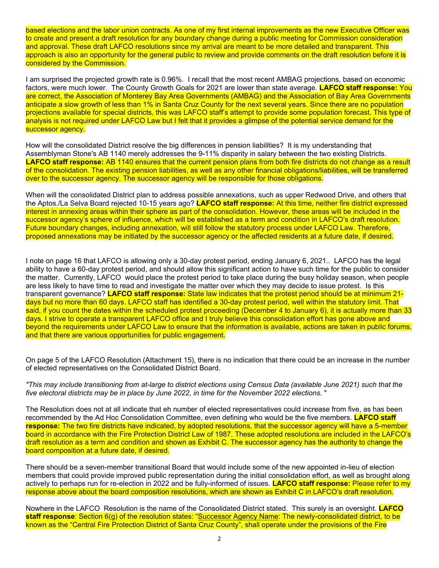based elections and the labor union contracts. As one of my first internal improvements as the new Executive Officer was to create and present a draft resolution for any boundary change during a public meeting for Commission consideration and approval. These draft LAFCO resolutions since my arrival are meant to be more detailed and transparent. This approach is also an opportunity for the general public to review and provide comments on the draft resolution before it is considered by the Commission.

I am surprised the projected growth rate is 0.96%. I recall that the most recent AMBAG projections, based on economic factors, were much lower. The County Growth Goals for 2021 are lower than state average. **LAFCO staff response:** You are correct, the Association of Monterey Bay Area Governments (AMBAG) and the Association of Bay Area Governments anticipate a slow growth of less than 1% in Santa Cruz County for the next several years. Since there are no population projections available for special districts, this was LAFCO staff's attempt to provide some population forecast. This type of analysis is not required under LAFCO Law but I felt that it provides a glimpse of the potential service demand for the successor agency.

How will the consolidated District resolve the big differences in pension liabilities? It is my understanding that Assemblyman Stone's AB 1140 merely addresses the 9-11% disparity in salary between the two existing Districts. **LAFCO staff response:** AB 1140 ensures that the current pension plans from both fire districts do not change as a result of the consolidation. The existing pension liabilities, as well as any other financial obligations/liabilities, will be transferred over to the successor agency. The successor agency will be responsible for those obligations.

When will the consolidated District plan to address possible annexations, such as upper Redwood Drive, and others that the Aptos./La Selva Board rejected 10-15 years ago? **LAFCO staff response:** At this time, neither fire district expressed interest in annexing areas within their sphere as part of the consolidation. However, these areas will be included in the successor agency's sphere of influence, which will be established as a term and condition in LAFCO's draft resolution. Future boundary changes, including annexation, will still follow the statutory process under LAFCO Law. Therefore, proposed annexations may be initiated by the successor agency or the affected residents at a future date, if desired.

I note on page 16 that LAFCO is allowing only a 30-day protest period, ending January 6, 2021.. LAFCO has the legal ability to have a 60-day protest period, and should allow this significant action to have such time for the public to consider the matter. Currently, LAFCO would place the protest period to take place during the busy holiday season, when people are less likely to have time to read and investigate the matter over which they may decide to issue protest. Is this transparent governance? **LAFCO staff response:** State law indicates that the protest period should be at minimum 21 days but no more than 60 days. LAFCO staff has identified a 30-day protest period, well within the statutory limit. That said, if you count the dates within the scheduled protest proceeding (December 4 to January 6), it is actually more than 33 days. I strive to operate a transparent LAFCO office and I truly believe this consolidation effort has gone above and beyond the requirements under LAFCO Law to ensure that the information is available, actions are taken in public forums, and that there are various opportunities for public engagement.

On page 5 of the LAFCO Resolution (Attachment 15), there is no indication that there could be an increase in the number of elected representatives on the Consolidated District Board.

*"This may include transitioning from at-large to district elections using Census Data (available June 2021) such that the five electoral districts may be in place by June 2022, in time for the November 2022 elections.* "

The Resolution does not at all indicate that eh number of elected representatives could increase from five, as has been recommended by the Ad Hoc Consolidation Committee, even defining who would be the five members. **LAFCO staff response:** The two fire districts have indicated, by adopted resolutions, that the successor agency will have a 5-member board in accordance with the Fire Protection District Law of 1987. These adopted resolutions are included in the LAFCO's draft resolution as a term and condition and shown as Exhibit C. The successor agency has the authority to change the board composition at a future date, if desired.

There should be a seven-member transitional Board that would include some of the new appointed in-lieu of election members that could provide improved public representation during the initial consolidation effort, as well as brought along actively to perhaps run for re-election in 2022 and be fully-informed of issues. **LAFCO staff response:** Please refer to my response above about the board composition resolutions, which are shown as Exhibit C in LAFCO's draft resolution.

Nowhere in the LAFCO Resolution is the name of the Consolidated District stated. This surely is an oversight. **LAFCO staff response**: Section 6(g) of the resolution states: "Successor Agency Name: The newly-consolidated district, to be known as the "Central Fire Protection District of Santa Cruz County", shall operate under the provisions of the Fire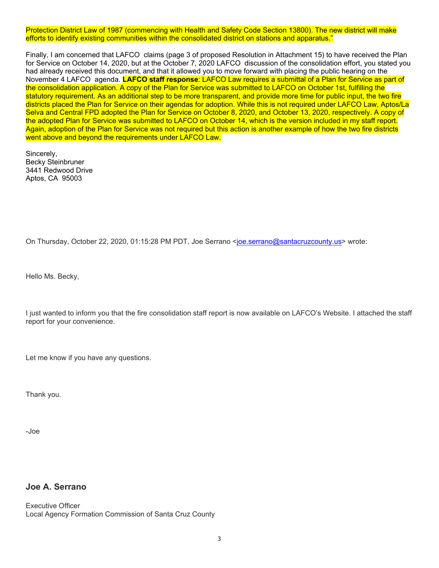Protection District Law of 1987 (commencing with Health and Safety Code Section 13800). The new district will make efforts to identify existing communities within the consolidated district on stations and apparatus."

Finally, I am concerned that LAFCO claims (page 3 of proposed Resolution in Attachment 15) to have received the Plan for Service on October 14, 2020, but at the October 7, 2020 LAFCO discussion of the consolidation effort, you stated you had already received this document, and that it allowed you to move forward with placing the public hearing on the November 4 LAFCO agenda. **LAFCO staff response**: LAFCO Law requires a submittal of a Plan for Service as part of the consolidation application. A copy of the Plan for Service was submitted to LAFCO on October 1st, fulfilling the statutory requirement. As an additional step to be more transparent, and provide more time for public input, the two fire districts placed the Plan for Service on their agendas for adoption. While this is not required under LAFCO Law, Aptos/La Selva and Central FPD adopted the Plan for Service on October 8, 2020, and October 13, 2020, respectively. A copy of the adopted Plan for Service was submitted to LAFCO on October 14, which is the version included in my staff report. Again, adoption of the Plan for Service was not required but this action is another example of how the two fire districts went above and beyond the requirements under LAFCO Law.

Sincerely, Becky Steinbruner 3441 Redwood Drive Aptos, CA 95003

On Thursday, October 22, 2020, 01:15:28 PM PDT, Joe Serrano <joe.serrano@santacruzcounty.us> wrote:

Hello Ms. Becky,

I just wanted to inform you that the fire consolidation staff report is now available on LAFCO's Website. I attached the staff report for your convenience.

Let me know if you have any questions.

Thank you.

-Joe

## **Joe A. Serrano**

Executive Officer Local Agency Formation Commission of Santa Cruz County